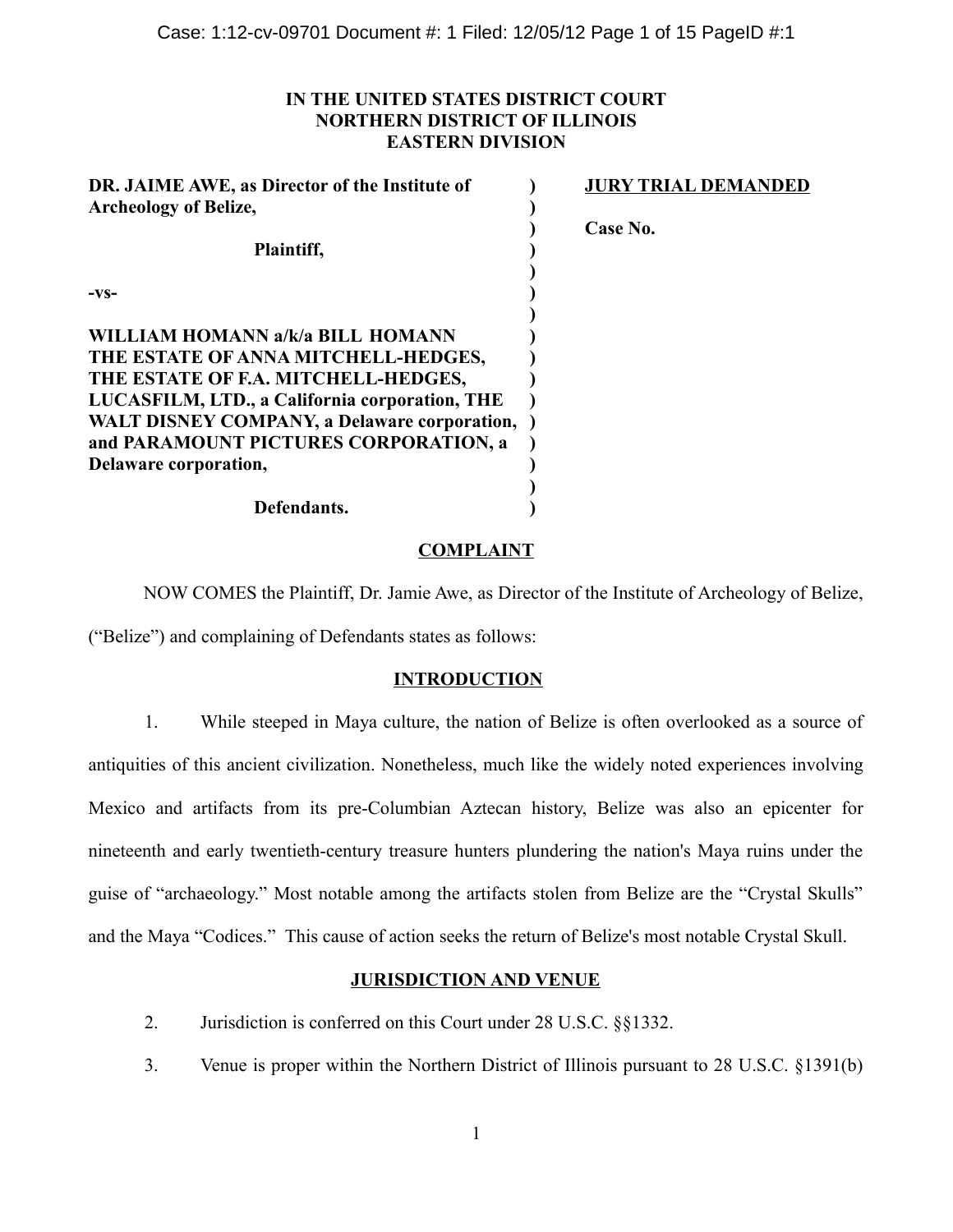## **IN THE UNITED STATES DISTRICT COURT NORTHERN DISTRICT OF ILLINOIS EASTERN DIVISION**

| DR. JAIME AWE, as Director of the Institute of<br><b>Archeology of Belize,</b> | <b>JURY TRIAL DEMANDED</b> |
|--------------------------------------------------------------------------------|----------------------------|
|                                                                                | Case No.                   |
| Plaintiff,                                                                     |                            |
| $-VS-$                                                                         |                            |
| WILLIAM HOMANN a/k/a BILL HOMANN                                               |                            |
| THE ESTATE OF ANNA MITCHELL-HEDGES,                                            |                            |
| THE ESTATE OF F.A. MITCHELL-HEDGES,                                            |                            |
| LUCASFILM, LTD., a California corporation, THE                                 |                            |
| <b>WALT DISNEY COMPANY, a Delaware corporation,</b>                            |                            |
| and PARAMOUNT PICTURES CORPORATION, a                                          |                            |
| Delaware corporation,                                                          |                            |
| Defendants.                                                                    |                            |
|                                                                                |                            |

## **COMPLAINT**

NOW COMES the Plaintiff, Dr. Jamie Awe, as Director of the Institute of Archeology of Belize, ("Belize") and complaining of Defendants states as follows:

## **INTRODUCTION**

1. While steeped in Maya culture, the nation of Belize is often overlooked as a source of antiquities of this ancient civilization. Nonetheless, much like the widely noted experiences involving Mexico and artifacts from its pre-Columbian Aztecan history, Belize was also an epicenter for nineteenth and early twentieth-century treasure hunters plundering the nation's Maya ruins under the guise of "archaeology." Most notable among the artifacts stolen from Belize are the "Crystal Skulls" and the Maya "Codices." This cause of action seeks the return of Belize's most notable Crystal Skull.

## **JURISDICTION AND VENUE**

- 2. Jurisdiction is conferred on this Court under 28 U.S.C. §§1332.
- 3. Venue is proper within the Northern District of Illinois pursuant to 28 U.S.C. §1391(b)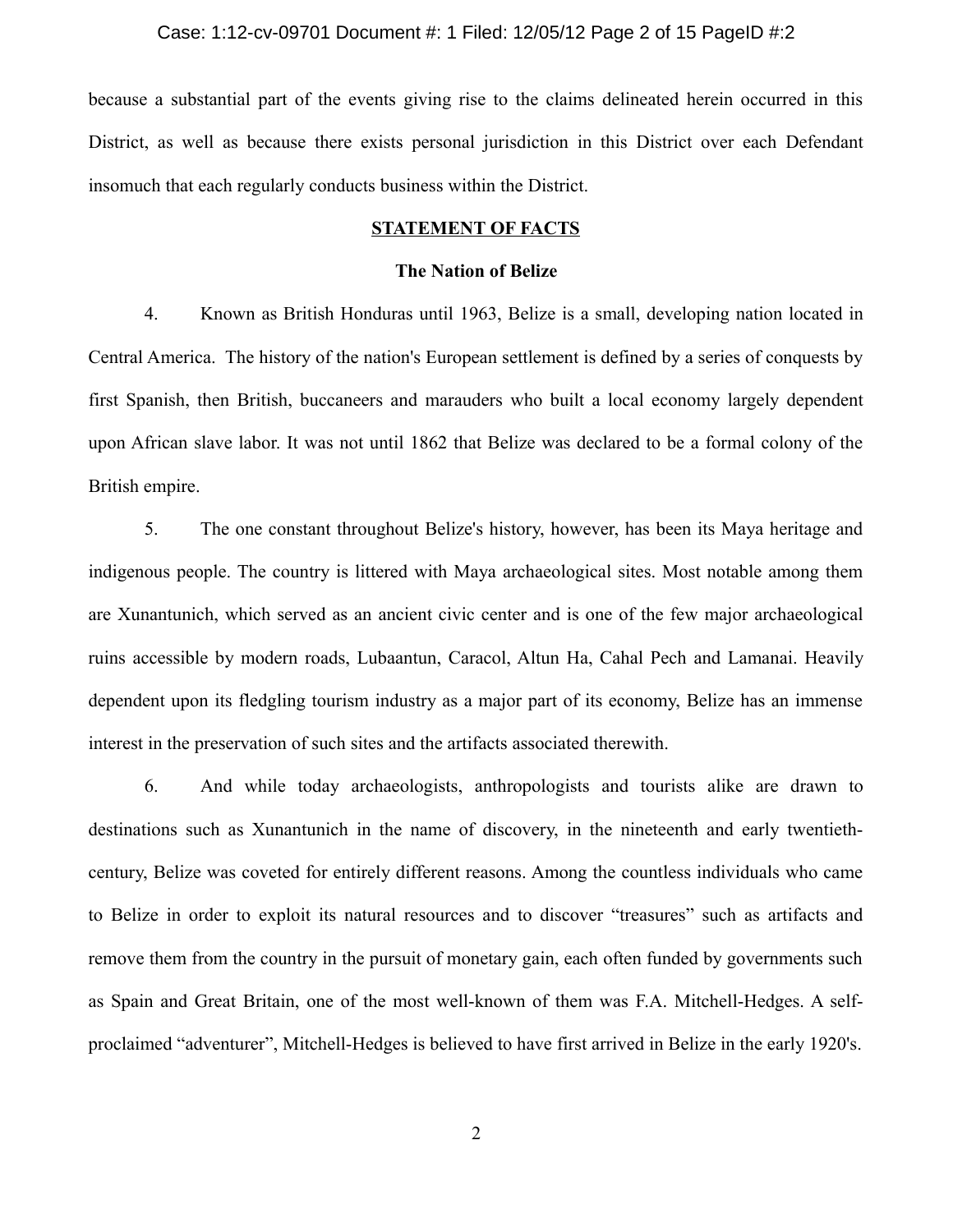#### Case: 1:12-cv-09701 Document #: 1 Filed: 12/05/12 Page 2 of 15 PageID #:2

because a substantial part of the events giving rise to the claims delineated herein occurred in this District, as well as because there exists personal jurisdiction in this District over each Defendant insomuch that each regularly conducts business within the District.

## **STATEMENT OF FACTS**

### **The Nation of Belize**

4. Known as British Honduras until 1963, Belize is a small, developing nation located in Central America. The history of the nation's European settlement is defined by a series of conquests by first Spanish, then British, buccaneers and marauders who built a local economy largely dependent upon African slave labor. It was not until 1862 that Belize was declared to be a formal colony of the British empire.

5. The one constant throughout Belize's history, however, has been its Maya heritage and indigenous people. The country is littered with Maya archaeological sites. Most notable among them are Xunantunich, which served as an ancient civic center and is one of the few major archaeological ruins accessible by modern roads, Lubaantun, Caracol, Altun Ha, Cahal Pech and Lamanai. Heavily dependent upon its fledgling tourism industry as a major part of its economy, Belize has an immense interest in the preservation of such sites and the artifacts associated therewith.

6. And while today archaeologists, anthropologists and tourists alike are drawn to destinations such as Xunantunich in the name of discovery, in the nineteenth and early twentiethcentury, Belize was coveted for entirely different reasons. Among the countless individuals who came to Belize in order to exploit its natural resources and to discover "treasures" such as artifacts and remove them from the country in the pursuit of monetary gain, each often funded by governments such as Spain and Great Britain, one of the most well-known of them was F.A. Mitchell-Hedges. A selfproclaimed "adventurer", Mitchell-Hedges is believed to have first arrived in Belize in the early 1920's.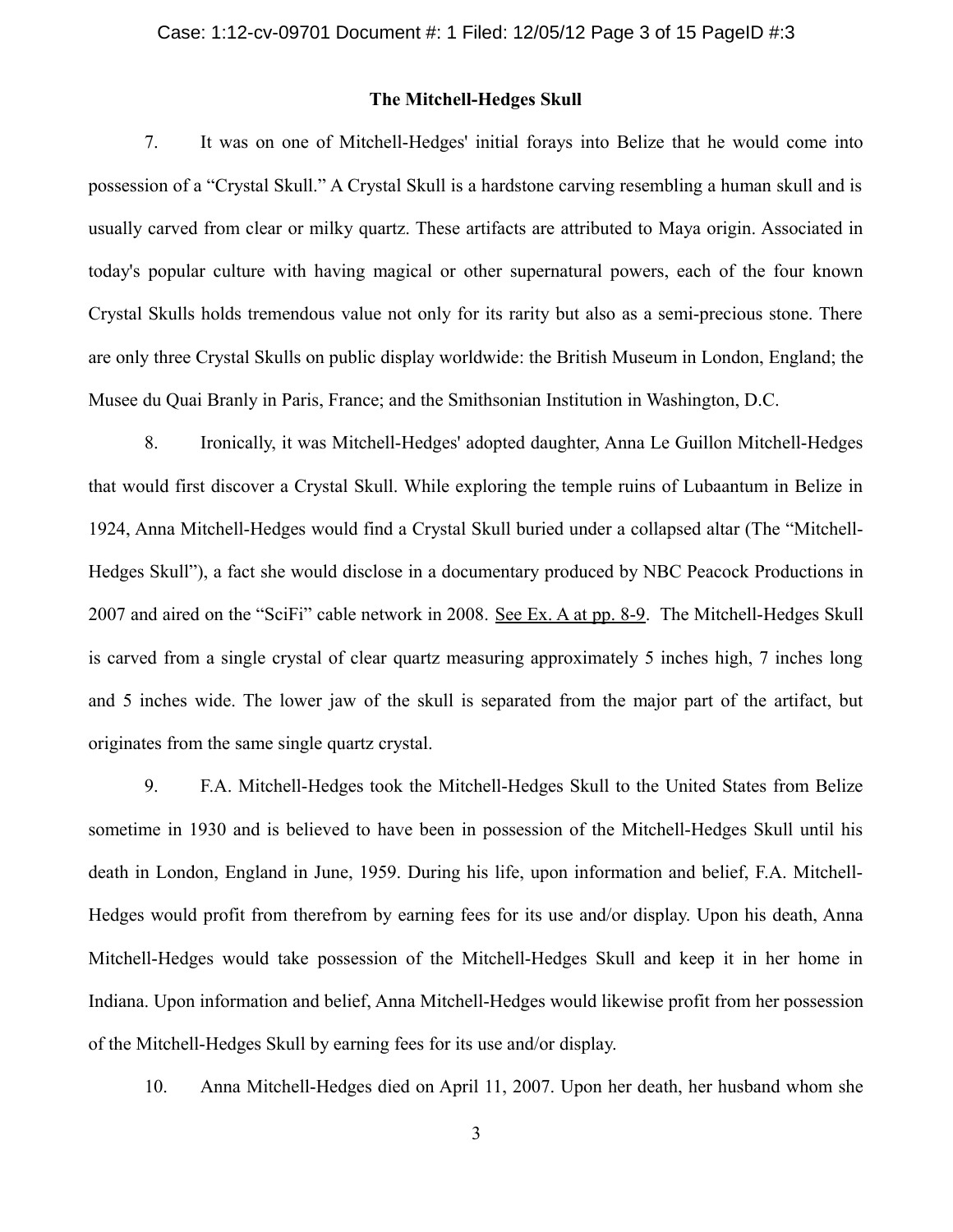### **The Mitchell-Hedges Skull**

7. It was on one of Mitchell-Hedges' initial forays into Belize that he would come into possession of a "Crystal Skull." A Crystal Skull is a hardstone carving resembling a human skull and is usually carved from clear or milky quartz. These artifacts are attributed to Maya origin. Associated in today's popular culture with having magical or other supernatural powers, each of the four known Crystal Skulls holds tremendous value not only for its rarity but also as a semi-precious stone. There are only three Crystal Skulls on public display worldwide: the British Museum in London, England; the Musee du Quai Branly in Paris, France; and the Smithsonian Institution in Washington, D.C.

8. Ironically, it was Mitchell-Hedges' adopted daughter, Anna Le Guillon Mitchell-Hedges that would first discover a Crystal Skull. While exploring the temple ruins of Lubaantum in Belize in 1924, Anna Mitchell-Hedges would find a Crystal Skull buried under a collapsed altar (The "Mitchell-Hedges Skull"), a fact she would disclose in a documentary produced by NBC Peacock Productions in 2007 and aired on the "SciFi" cable network in 2008. See Ex. A at pp. 8-9. The Mitchell-Hedges Skull is carved from a single crystal of clear quartz measuring approximately 5 inches high, 7 inches long and 5 inches wide. The lower jaw of the skull is separated from the major part of the artifact, but originates from the same single quartz crystal.

9. F.A. Mitchell-Hedges took the Mitchell-Hedges Skull to the United States from Belize sometime in 1930 and is believed to have been in possession of the Mitchell-Hedges Skull until his death in London, England in June, 1959. During his life, upon information and belief, F.A. Mitchell-Hedges would profit from therefrom by earning fees for its use and/or display. Upon his death, Anna Mitchell-Hedges would take possession of the Mitchell-Hedges Skull and keep it in her home in Indiana. Upon information and belief, Anna Mitchell-Hedges would likewise profit from her possession of the Mitchell-Hedges Skull by earning fees for its use and/or display.

10. Anna Mitchell-Hedges died on April 11, 2007. Upon her death, her husband whom she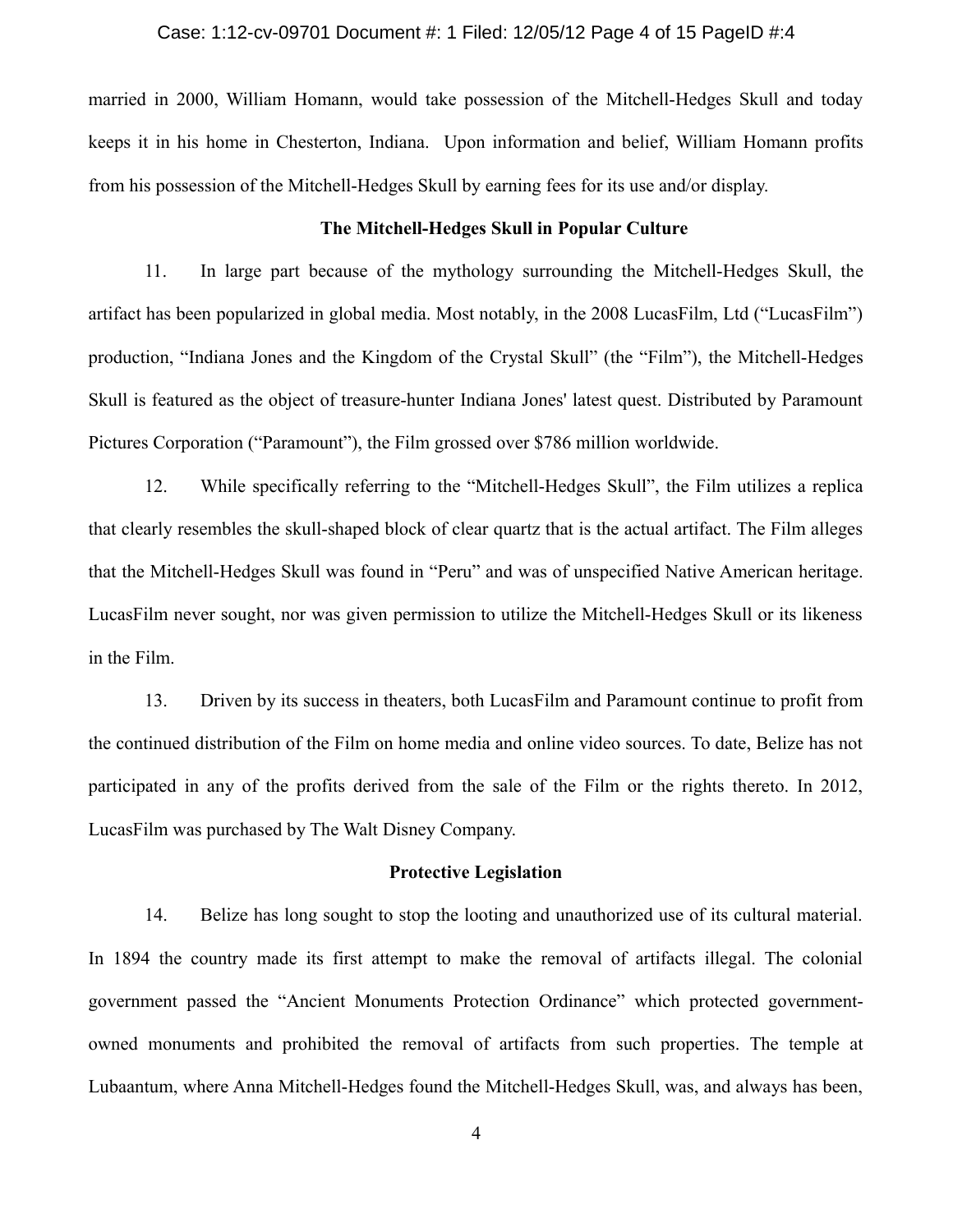#### Case: 1:12-cv-09701 Document #: 1 Filed: 12/05/12 Page 4 of 15 PageID #:4

married in 2000, William Homann, would take possession of the Mitchell-Hedges Skull and today keeps it in his home in Chesterton, Indiana. Upon information and belief, William Homann profits from his possession of the Mitchell-Hedges Skull by earning fees for its use and/or display.

### **The Mitchell-Hedges Skull in Popular Culture**

11. In large part because of the mythology surrounding the Mitchell-Hedges Skull, the artifact has been popularized in global media. Most notably, in the 2008 LucasFilm, Ltd ("LucasFilm") production, "Indiana Jones and the Kingdom of the Crystal Skull" (the "Film"), the Mitchell-Hedges Skull is featured as the object of treasure-hunter Indiana Jones' latest quest. Distributed by Paramount Pictures Corporation ("Paramount"), the Film grossed over \$786 million worldwide.

12. While specifically referring to the "Mitchell-Hedges Skull", the Film utilizes a replica that clearly resembles the skull-shaped block of clear quartz that is the actual artifact. The Film alleges that the Mitchell-Hedges Skull was found in "Peru" and was of unspecified Native American heritage. LucasFilm never sought, nor was given permission to utilize the Mitchell-Hedges Skull or its likeness in the Film.

13. Driven by its success in theaters, both LucasFilm and Paramount continue to profit from the continued distribution of the Film on home media and online video sources. To date, Belize has not participated in any of the profits derived from the sale of the Film or the rights thereto. In 2012, LucasFilm was purchased by The Walt Disney Company.

### **Protective Legislation**

14. Belize has long sought to stop the looting and unauthorized use of its cultural material. In 1894 the country made its first attempt to make the removal of artifacts illegal. The colonial government passed the "Ancient Monuments Protection Ordinance" which protected governmentowned monuments and prohibited the removal of artifacts from such properties. The temple at Lubaantum, where Anna Mitchell-Hedges found the Mitchell-Hedges Skull, was, and always has been,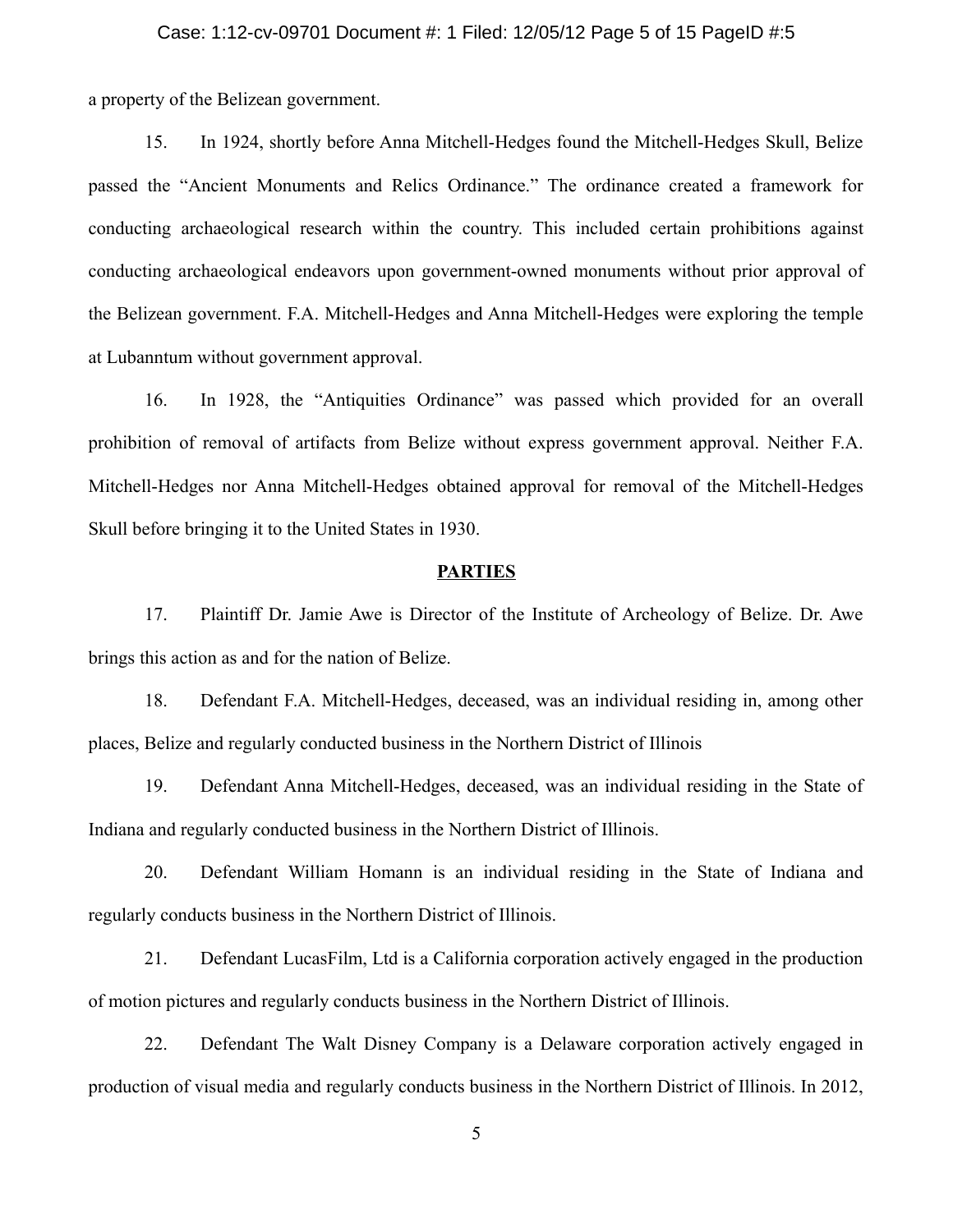#### Case: 1:12-cv-09701 Document #: 1 Filed: 12/05/12 Page 5 of 15 PageID #:5

a property of the Belizean government.

15. In 1924, shortly before Anna Mitchell-Hedges found the Mitchell-Hedges Skull, Belize passed the "Ancient Monuments and Relics Ordinance." The ordinance created a framework for conducting archaeological research within the country. This included certain prohibitions against conducting archaeological endeavors upon government-owned monuments without prior approval of the Belizean government. F.A. Mitchell-Hedges and Anna Mitchell-Hedges were exploring the temple at Lubanntum without government approval.

16. In 1928, the "Antiquities Ordinance" was passed which provided for an overall prohibition of removal of artifacts from Belize without express government approval. Neither F.A. Mitchell-Hedges nor Anna Mitchell-Hedges obtained approval for removal of the Mitchell-Hedges Skull before bringing it to the United States in 1930.

#### **PARTIES**

17. Plaintiff Dr. Jamie Awe is Director of the Institute of Archeology of Belize. Dr. Awe brings this action as and for the nation of Belize.

18. Defendant F.A. Mitchell-Hedges, deceased, was an individual residing in, among other places, Belize and regularly conducted business in the Northern District of Illinois

19. Defendant Anna Mitchell-Hedges, deceased, was an individual residing in the State of Indiana and regularly conducted business in the Northern District of Illinois.

20. Defendant William Homann is an individual residing in the State of Indiana and regularly conducts business in the Northern District of Illinois.

21. Defendant LucasFilm, Ltd is a California corporation actively engaged in the production of motion pictures and regularly conducts business in the Northern District of Illinois.

22. Defendant The Walt Disney Company is a Delaware corporation actively engaged in production of visual media and regularly conducts business in the Northern District of Illinois. In 2012,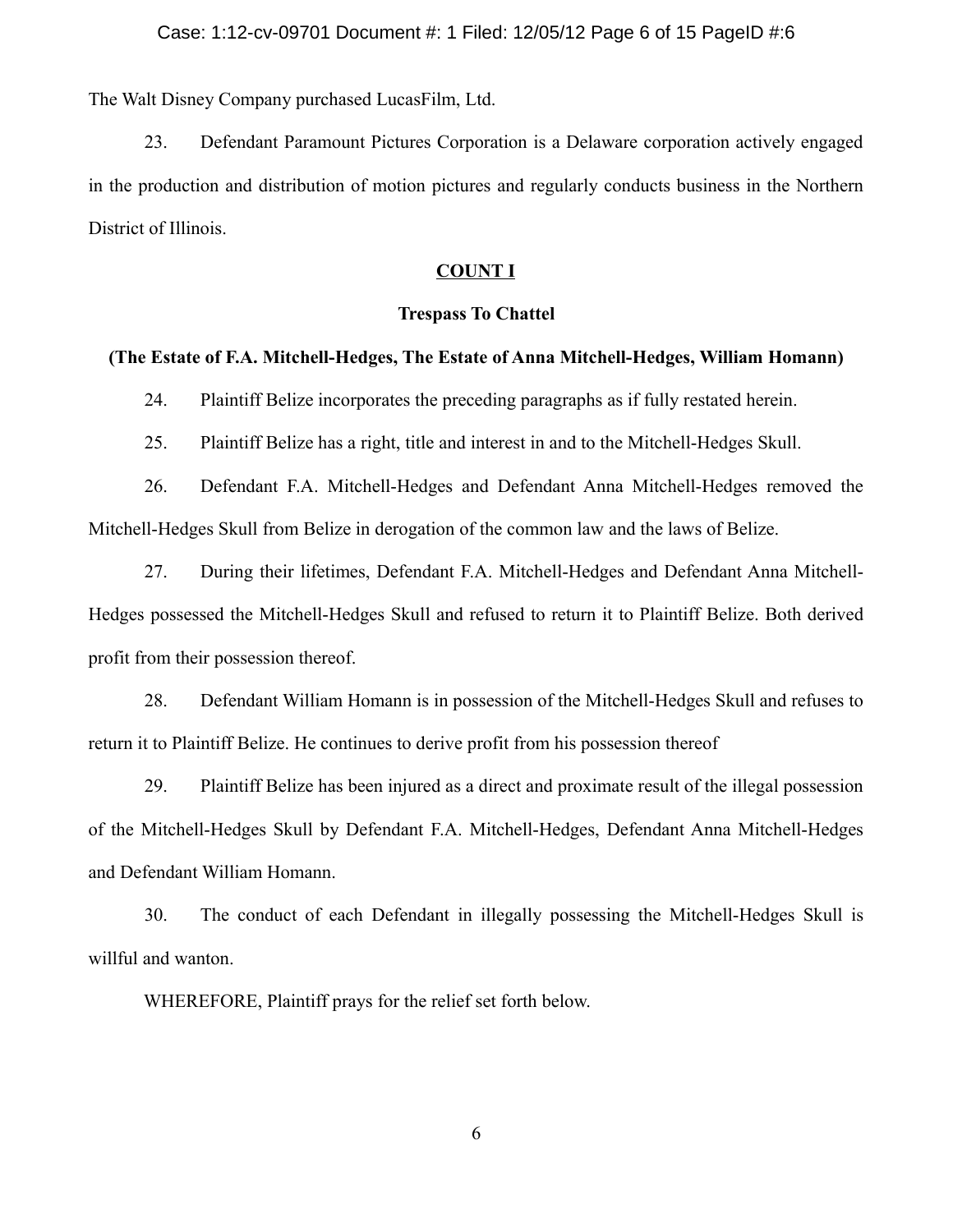#### Case: 1:12-cv-09701 Document #: 1 Filed: 12/05/12 Page 6 of 15 PageID #:6

The Walt Disney Company purchased LucasFilm, Ltd.

23. Defendant Paramount Pictures Corporation is a Delaware corporation actively engaged in the production and distribution of motion pictures and regularly conducts business in the Northern District of Illinois.

#### **COUNT I**

#### **Trespass To Chattel**

## **(The Estate of F.A. Mitchell-Hedges, The Estate of Anna Mitchell-Hedges, William Homann)**

24. Plaintiff Belize incorporates the preceding paragraphs as if fully restated herein.

25. Plaintiff Belize has a right, title and interest in and to the Mitchell-Hedges Skull.

26. Defendant F.A. Mitchell-Hedges and Defendant Anna Mitchell-Hedges removed the Mitchell-Hedges Skull from Belize in derogation of the common law and the laws of Belize.

27. During their lifetimes, Defendant F.A. Mitchell-Hedges and Defendant Anna Mitchell-Hedges possessed the Mitchell-Hedges Skull and refused to return it to Plaintiff Belize. Both derived profit from their possession thereof.

28. Defendant William Homann is in possession of the Mitchell-Hedges Skull and refuses to return it to Plaintiff Belize. He continues to derive profit from his possession thereof

29. Plaintiff Belize has been injured as a direct and proximate result of the illegal possession of the Mitchell-Hedges Skull by Defendant F.A. Mitchell-Hedges, Defendant Anna Mitchell-Hedges and Defendant William Homann.

30. The conduct of each Defendant in illegally possessing the Mitchell-Hedges Skull is willful and wanton.

WHEREFORE, Plaintiff prays for the relief set forth below.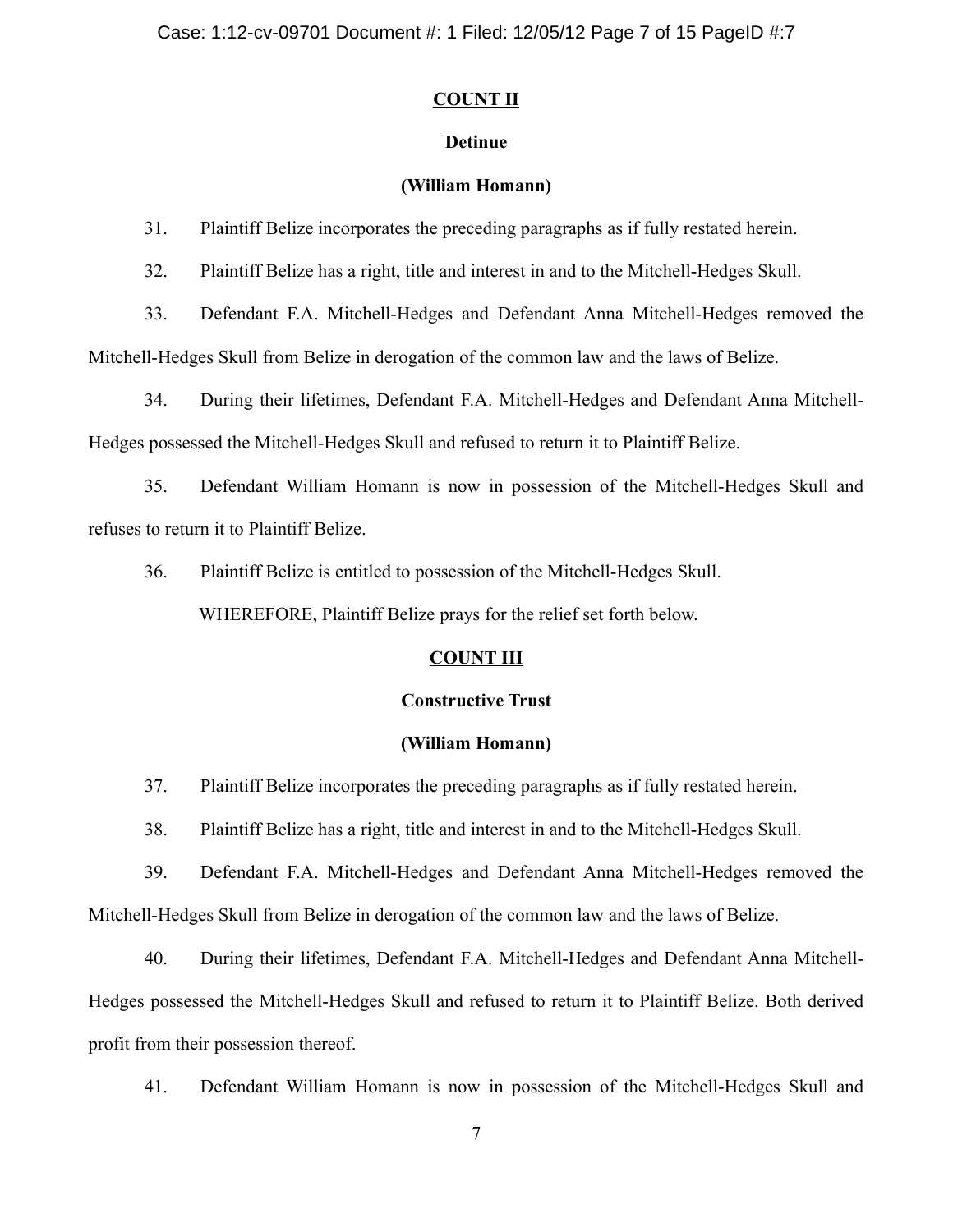# **COUNT II**

# **Detinue**

# **(William Homann)**

31. Plaintiff Belize incorporates the preceding paragraphs as if fully restated herein.

32. Plaintiff Belize has a right, title and interest in and to the Mitchell-Hedges Skull.

33. Defendant F.A. Mitchell-Hedges and Defendant Anna Mitchell-Hedges removed the Mitchell-Hedges Skull from Belize in derogation of the common law and the laws of Belize.

34. During their lifetimes, Defendant F.A. Mitchell-Hedges and Defendant Anna Mitchell-

Hedges possessed the Mitchell-Hedges Skull and refused to return it to Plaintiff Belize.

35. Defendant William Homann is now in possession of the Mitchell-Hedges Skull and refuses to return it to Plaintiff Belize.

36. Plaintiff Belize is entitled to possession of the Mitchell-Hedges Skull.

WHEREFORE, Plaintiff Belize prays for the relief set forth below.

# **COUNT III**

# **Constructive Trust**

# **(William Homann)**

37. Plaintiff Belize incorporates the preceding paragraphs as if fully restated herein.

38. Plaintiff Belize has a right, title and interest in and to the Mitchell-Hedges Skull.

39. Defendant F.A. Mitchell-Hedges and Defendant Anna Mitchell-Hedges removed the Mitchell-Hedges Skull from Belize in derogation of the common law and the laws of Belize.

40. During their lifetimes, Defendant F.A. Mitchell-Hedges and Defendant Anna Mitchell-Hedges possessed the Mitchell-Hedges Skull and refused to return it to Plaintiff Belize. Both derived profit from their possession thereof.

41. Defendant William Homann is now in possession of the Mitchell-Hedges Skull and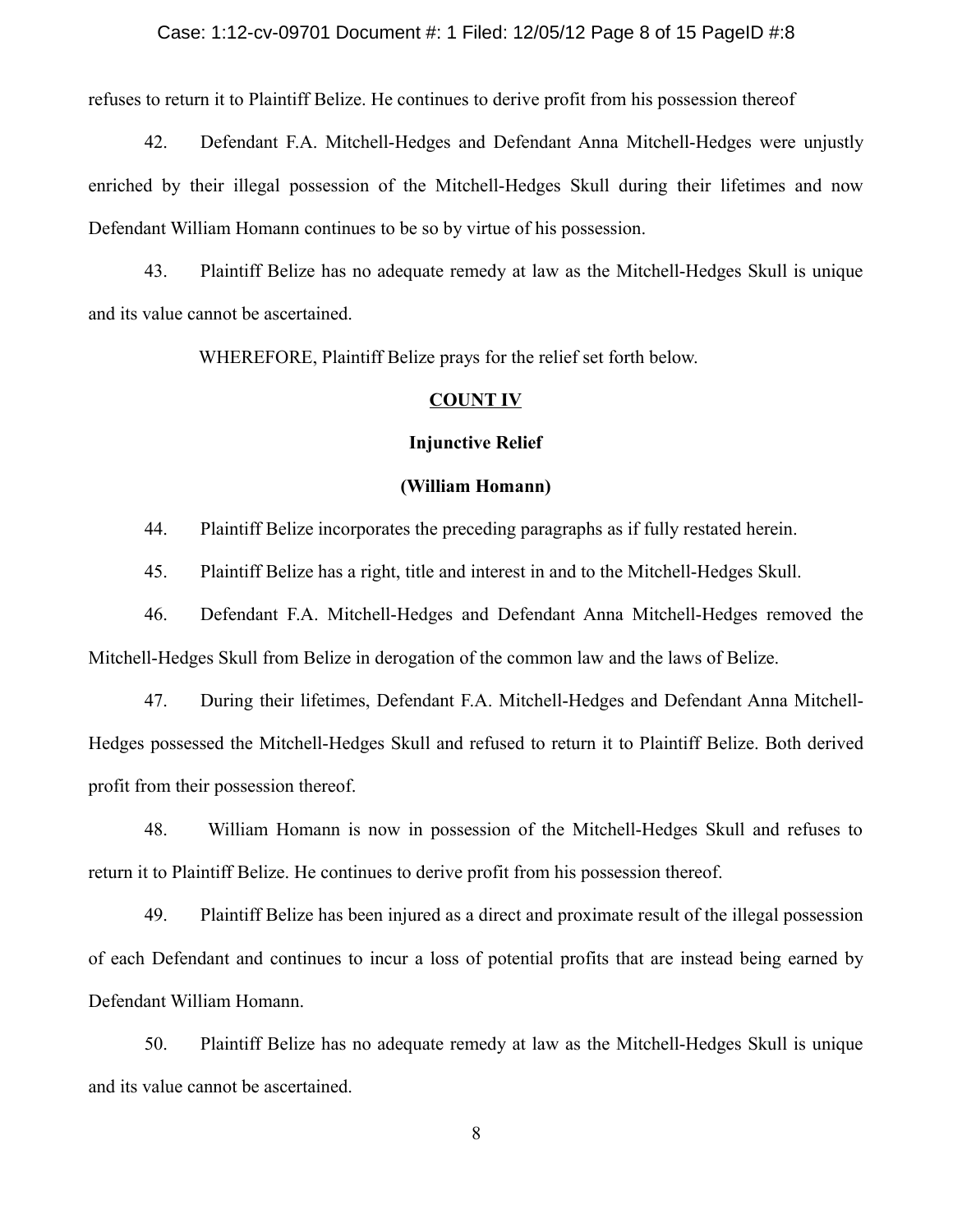#### Case: 1:12-cv-09701 Document #: 1 Filed: 12/05/12 Page 8 of 15 PageID #:8

refuses to return it to Plaintiff Belize. He continues to derive profit from his possession thereof

42. Defendant F.A. Mitchell-Hedges and Defendant Anna Mitchell-Hedges were unjustly enriched by their illegal possession of the Mitchell-Hedges Skull during their lifetimes and now Defendant William Homann continues to be so by virtue of his possession.

43. Plaintiff Belize has no adequate remedy at law as the Mitchell-Hedges Skull is unique and its value cannot be ascertained.

WHEREFORE, Plaintiff Belize prays for the relief set forth below.

#### **COUNT IV**

### **Injunctive Relief**

### **(William Homann)**

44. Plaintiff Belize incorporates the preceding paragraphs as if fully restated herein.

45. Plaintiff Belize has a right, title and interest in and to the Mitchell-Hedges Skull.

46. Defendant F.A. Mitchell-Hedges and Defendant Anna Mitchell-Hedges removed the Mitchell-Hedges Skull from Belize in derogation of the common law and the laws of Belize.

47. During their lifetimes, Defendant F.A. Mitchell-Hedges and Defendant Anna Mitchell-Hedges possessed the Mitchell-Hedges Skull and refused to return it to Plaintiff Belize. Both derived profit from their possession thereof.

48. William Homann is now in possession of the Mitchell-Hedges Skull and refuses to return it to Plaintiff Belize. He continues to derive profit from his possession thereof.

49. Plaintiff Belize has been injured as a direct and proximate result of the illegal possession of each Defendant and continues to incur a loss of potential profits that are instead being earned by Defendant William Homann.

50. Plaintiff Belize has no adequate remedy at law as the Mitchell-Hedges Skull is unique and its value cannot be ascertained.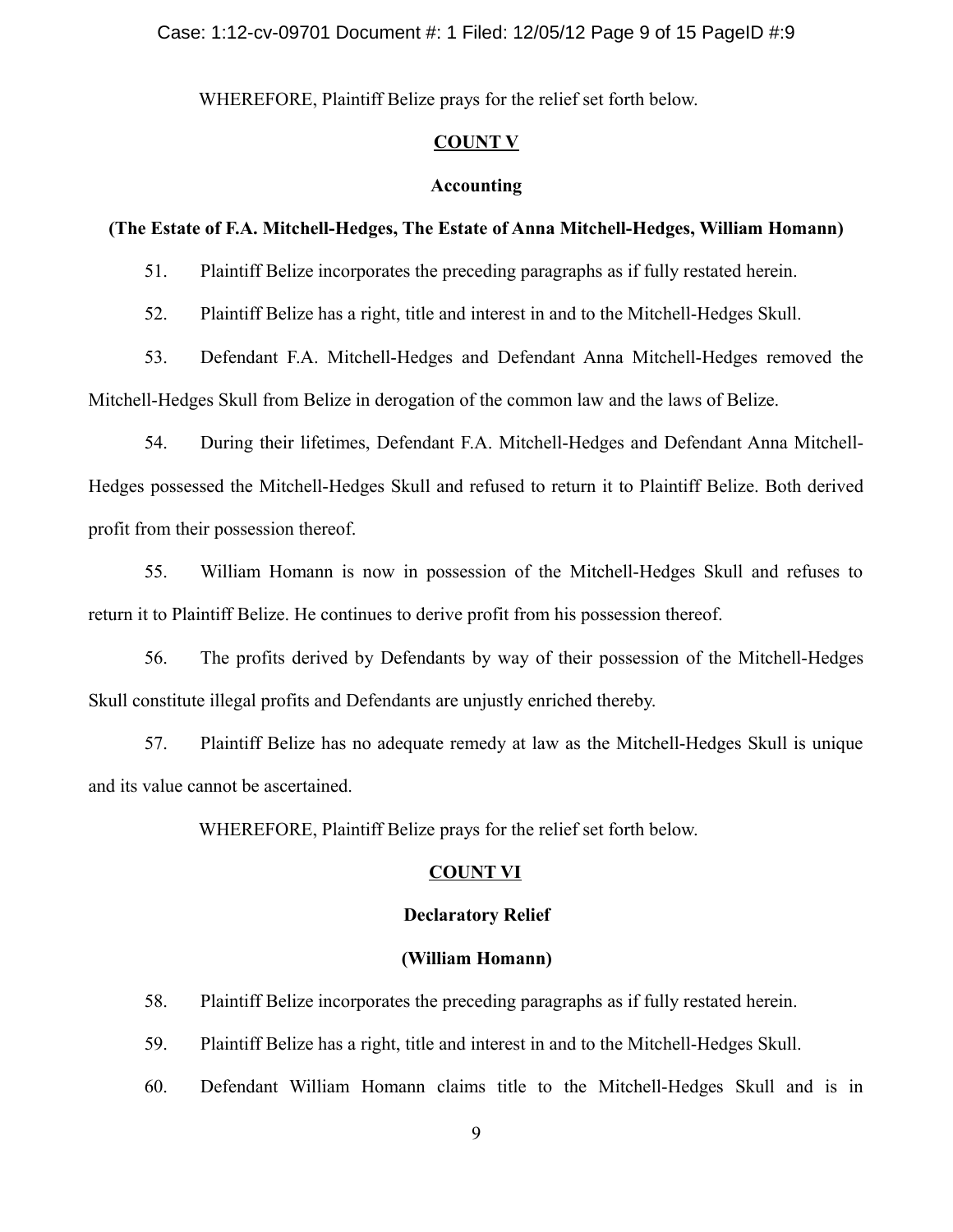WHEREFORE, Plaintiff Belize prays for the relief set forth below.

## **COUNT V**

#### **Accounting**

### **(The Estate of F.A. Mitchell-Hedges, The Estate of Anna Mitchell-Hedges, William Homann)**

51. Plaintiff Belize incorporates the preceding paragraphs as if fully restated herein.

52. Plaintiff Belize has a right, title and interest in and to the Mitchell-Hedges Skull.

53. Defendant F.A. Mitchell-Hedges and Defendant Anna Mitchell-Hedges removed the Mitchell-Hedges Skull from Belize in derogation of the common law and the laws of Belize.

54. During their lifetimes, Defendant F.A. Mitchell-Hedges and Defendant Anna Mitchell-Hedges possessed the Mitchell-Hedges Skull and refused to return it to Plaintiff Belize. Both derived profit from their possession thereof.

55. William Homann is now in possession of the Mitchell-Hedges Skull and refuses to return it to Plaintiff Belize. He continues to derive profit from his possession thereof.

56. The profits derived by Defendants by way of their possession of the Mitchell-Hedges Skull constitute illegal profits and Defendants are unjustly enriched thereby.

57. Plaintiff Belize has no adequate remedy at law as the Mitchell-Hedges Skull is unique and its value cannot be ascertained.

WHEREFORE, Plaintiff Belize prays for the relief set forth below.

### **COUNT VI**

### **Declaratory Relief**

## **(William Homann)**

58. Plaintiff Belize incorporates the preceding paragraphs as if fully restated herein.

59. Plaintiff Belize has a right, title and interest in and to the Mitchell-Hedges Skull.

60. Defendant William Homann claims title to the Mitchell-Hedges Skull and is in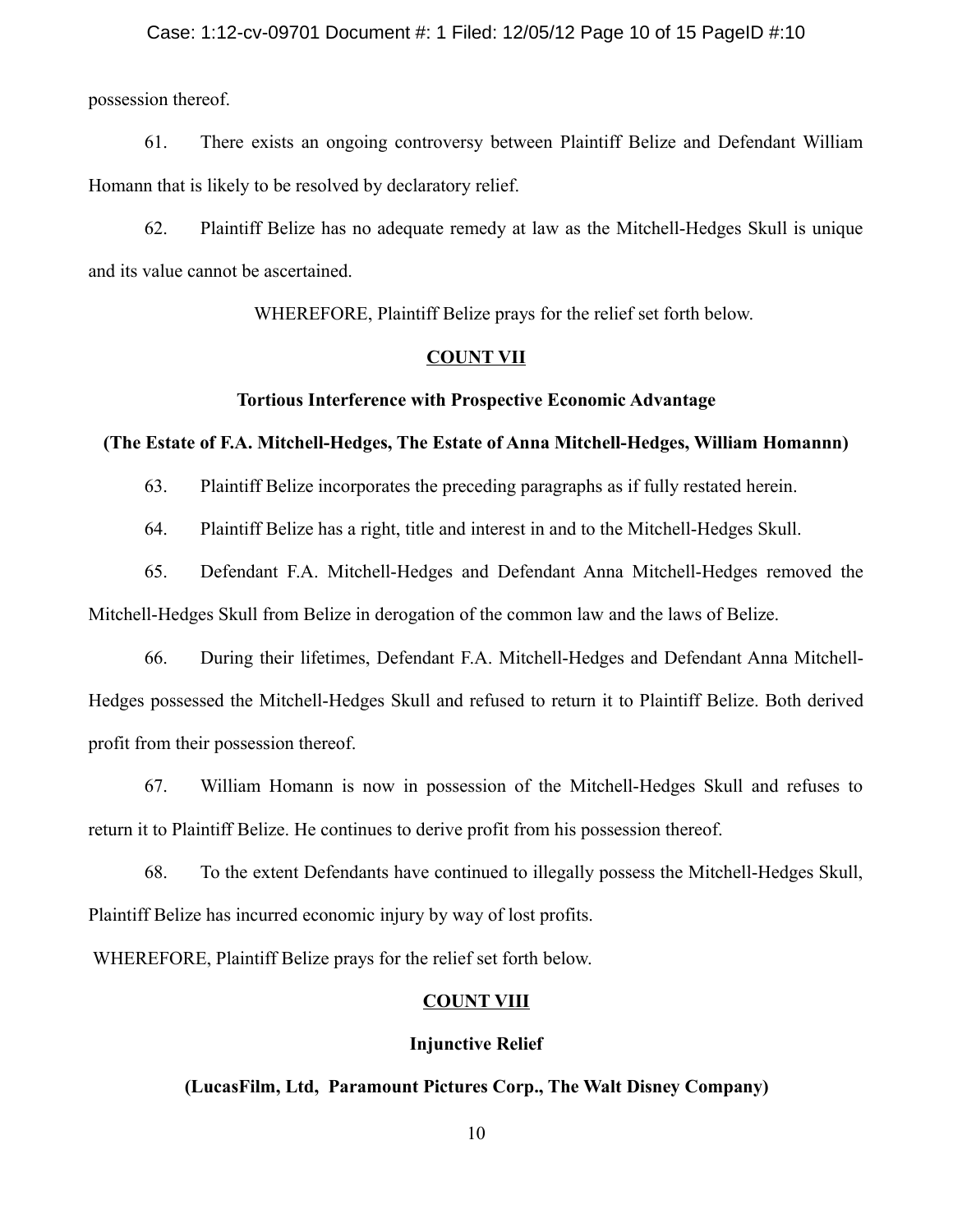#### Case: 1:12-cv-09701 Document #: 1 Filed: 12/05/12 Page 10 of 15 PageID #:10

possession thereof.

61. There exists an ongoing controversy between Plaintiff Belize and Defendant William Homann that is likely to be resolved by declaratory relief.

62. Plaintiff Belize has no adequate remedy at law as the Mitchell-Hedges Skull is unique and its value cannot be ascertained.

WHEREFORE, Plaintiff Belize prays for the relief set forth below.

#### **COUNT VII**

#### **Tortious Interference with Prospective Economic Advantage**

### **(The Estate of F.A. Mitchell-Hedges, The Estate of Anna Mitchell-Hedges, William Homannn)**

63. Plaintiff Belize incorporates the preceding paragraphs as if fully restated herein.

64. Plaintiff Belize has a right, title and interest in and to the Mitchell-Hedges Skull.

65. Defendant F.A. Mitchell-Hedges and Defendant Anna Mitchell-Hedges removed the Mitchell-Hedges Skull from Belize in derogation of the common law and the laws of Belize.

66. During their lifetimes, Defendant F.A. Mitchell-Hedges and Defendant Anna Mitchell-Hedges possessed the Mitchell-Hedges Skull and refused to return it to Plaintiff Belize. Both derived profit from their possession thereof.

67. William Homann is now in possession of the Mitchell-Hedges Skull and refuses to return it to Plaintiff Belize. He continues to derive profit from his possession thereof.

68. To the extent Defendants have continued to illegally possess the Mitchell-Hedges Skull, Plaintiff Belize has incurred economic injury by way of lost profits.

WHEREFORE, Plaintiff Belize prays for the relief set forth below.

## **COUNT VIII**

#### **Injunctive Relief**

# **(LucasFilm, Ltd, Paramount Pictures Corp., The Walt Disney Company)**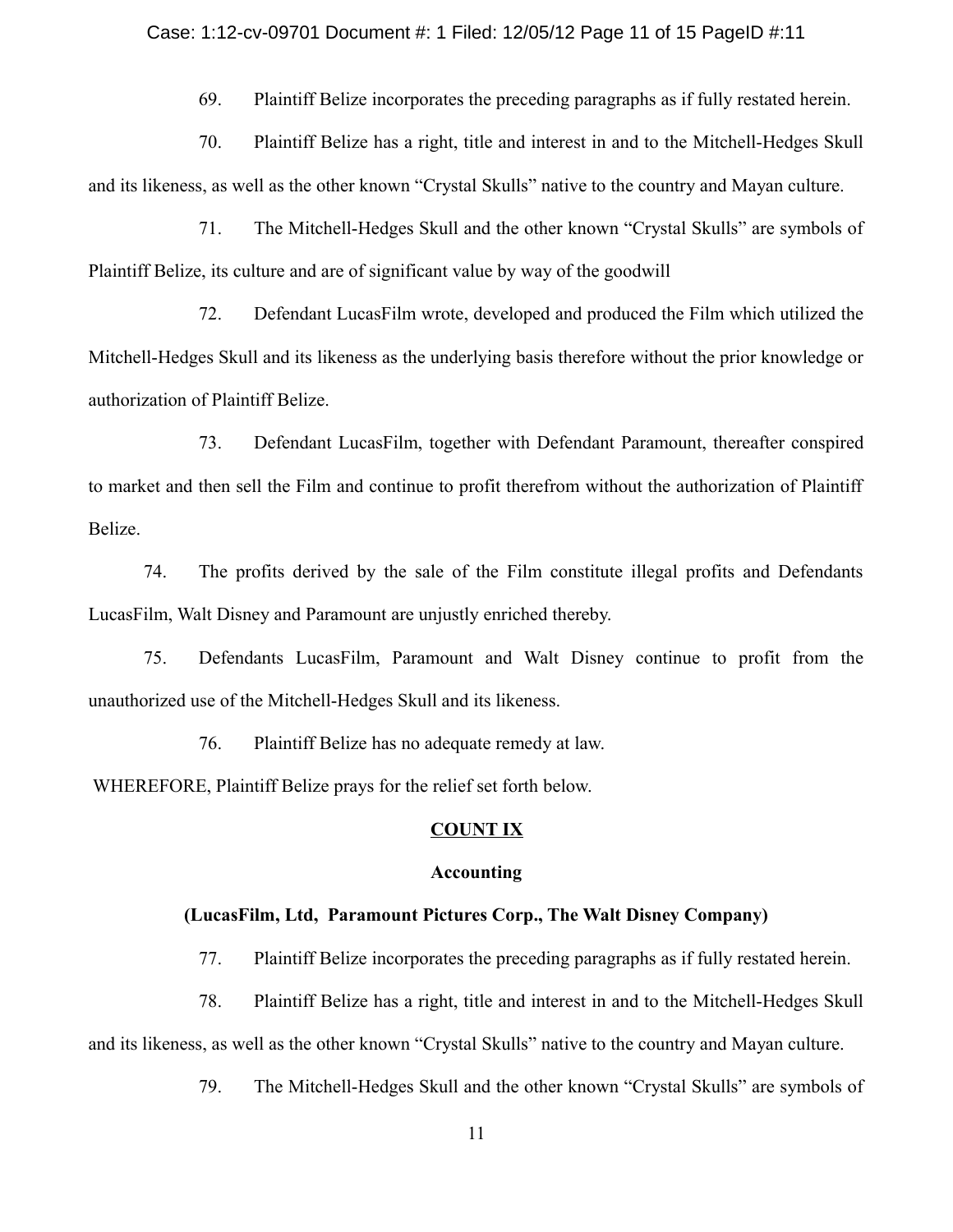#### Case: 1:12-cv-09701 Document #: 1 Filed: 12/05/12 Page 11 of 15 PageID #:11

69. Plaintiff Belize incorporates the preceding paragraphs as if fully restated herein.

 70. Plaintiff Belize has a right, title and interest in and to the Mitchell-Hedges Skull and its likeness, as well as the other known "Crystal Skulls" native to the country and Mayan culture.

 71. The Mitchell-Hedges Skull and the other known "Crystal Skulls" are symbols of Plaintiff Belize, its culture and are of significant value by way of the goodwill

 72. Defendant LucasFilm wrote, developed and produced the Film which utilized the Mitchell-Hedges Skull and its likeness as the underlying basis therefore without the prior knowledge or authorization of Plaintiff Belize.

 73. Defendant LucasFilm, together with Defendant Paramount, thereafter conspired to market and then sell the Film and continue to profit therefrom without the authorization of Plaintiff Belize.

 74. The profits derived by the sale of the Film constitute illegal profits and Defendants LucasFilm, Walt Disney and Paramount are unjustly enriched thereby.

 75. Defendants LucasFilm, Paramount and Walt Disney continue to profit from the unauthorized use of the Mitchell-Hedges Skull and its likeness.

76. Plaintiff Belize has no adequate remedy at law.

WHEREFORE, Plaintiff Belize prays for the relief set forth below.

## **COUNT IX**

## **Accounting**

## **(LucasFilm, Ltd, Paramount Pictures Corp., The Walt Disney Company)**

77. Plaintiff Belize incorporates the preceding paragraphs as if fully restated herein.

 78. Plaintiff Belize has a right, title and interest in and to the Mitchell-Hedges Skull and its likeness, as well as the other known "Crystal Skulls" native to the country and Mayan culture.

79. The Mitchell-Hedges Skull and the other known "Crystal Skulls" are symbols of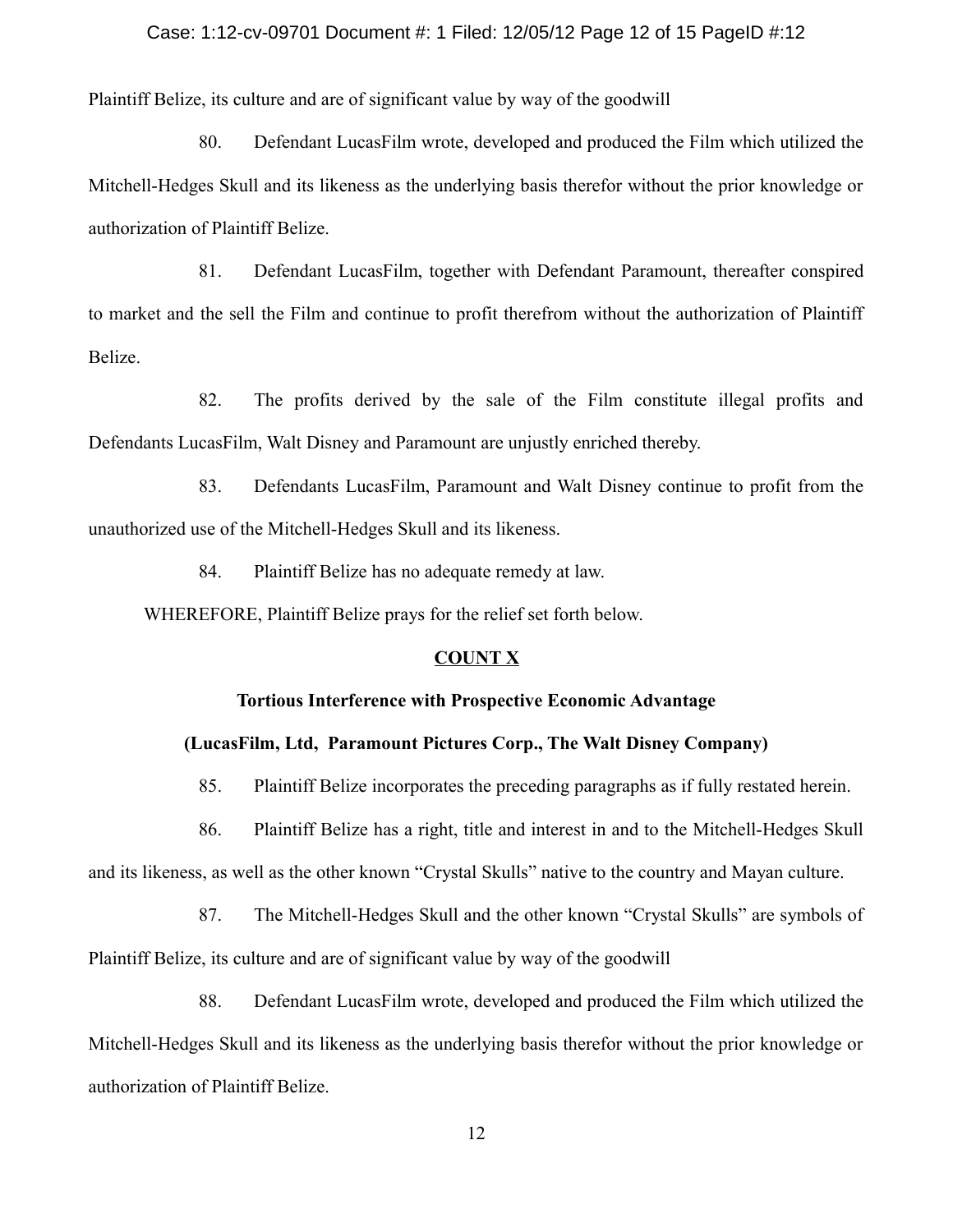#### Case: 1:12-cv-09701 Document #: 1 Filed: 12/05/12 Page 12 of 15 PageID #:12

Plaintiff Belize, its culture and are of significant value by way of the goodwill

 80. Defendant LucasFilm wrote, developed and produced the Film which utilized the Mitchell-Hedges Skull and its likeness as the underlying basis therefor without the prior knowledge or authorization of Plaintiff Belize.

 81. Defendant LucasFilm, together with Defendant Paramount, thereafter conspired to market and the sell the Film and continue to profit therefrom without the authorization of Plaintiff Belize.

 82. The profits derived by the sale of the Film constitute illegal profits and Defendants LucasFilm, Walt Disney and Paramount are unjustly enriched thereby.

 83. Defendants LucasFilm, Paramount and Walt Disney continue to profit from the unauthorized use of the Mitchell-Hedges Skull and its likeness.

84. Plaintiff Belize has no adequate remedy at law.

WHEREFORE, Plaintiff Belize prays for the relief set forth below.

### **COUNT X**

### **Tortious Interference with Prospective Economic Advantage**

## **(LucasFilm, Ltd, Paramount Pictures Corp., The Walt Disney Company)**

85. Plaintiff Belize incorporates the preceding paragraphs as if fully restated herein.

 86. Plaintiff Belize has a right, title and interest in and to the Mitchell-Hedges Skull and its likeness, as well as the other known "Crystal Skulls" native to the country and Mayan culture.

 87. The Mitchell-Hedges Skull and the other known "Crystal Skulls" are symbols of Plaintiff Belize, its culture and are of significant value by way of the goodwill

 88. Defendant LucasFilm wrote, developed and produced the Film which utilized the Mitchell-Hedges Skull and its likeness as the underlying basis therefor without the prior knowledge or authorization of Plaintiff Belize.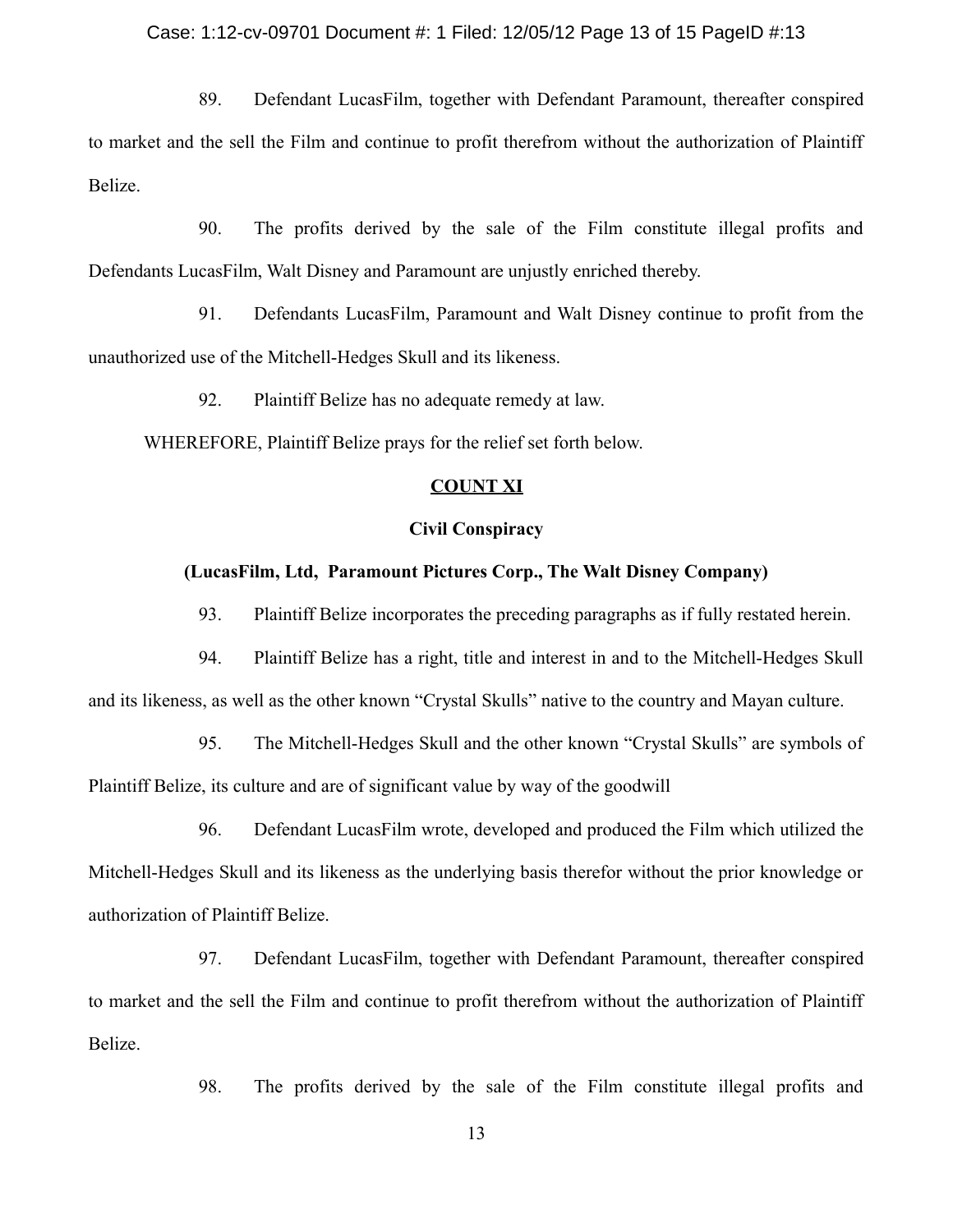#### Case: 1:12-cv-09701 Document #: 1 Filed: 12/05/12 Page 13 of 15 PageID #:13

 89. Defendant LucasFilm, together with Defendant Paramount, thereafter conspired to market and the sell the Film and continue to profit therefrom without the authorization of Plaintiff Belize.

 90. The profits derived by the sale of the Film constitute illegal profits and Defendants LucasFilm, Walt Disney and Paramount are unjustly enriched thereby.

 91. Defendants LucasFilm, Paramount and Walt Disney continue to profit from the unauthorized use of the Mitchell-Hedges Skull and its likeness.

92. Plaintiff Belize has no adequate remedy at law.

WHEREFORE, Plaintiff Belize prays for the relief set forth below.

### **COUNT XI**

### **Civil Conspiracy**

#### **(LucasFilm, Ltd, Paramount Pictures Corp., The Walt Disney Company)**

93. Plaintiff Belize incorporates the preceding paragraphs as if fully restated herein.

 94. Plaintiff Belize has a right, title and interest in and to the Mitchell-Hedges Skull and its likeness, as well as the other known "Crystal Skulls" native to the country and Mayan culture.

 95. The Mitchell-Hedges Skull and the other known "Crystal Skulls" are symbols of Plaintiff Belize, its culture and are of significant value by way of the goodwill

 96. Defendant LucasFilm wrote, developed and produced the Film which utilized the Mitchell-Hedges Skull and its likeness as the underlying basis therefor without the prior knowledge or authorization of Plaintiff Belize.

 97. Defendant LucasFilm, together with Defendant Paramount, thereafter conspired to market and the sell the Film and continue to profit therefrom without the authorization of Plaintiff Belize.

98. The profits derived by the sale of the Film constitute illegal profits and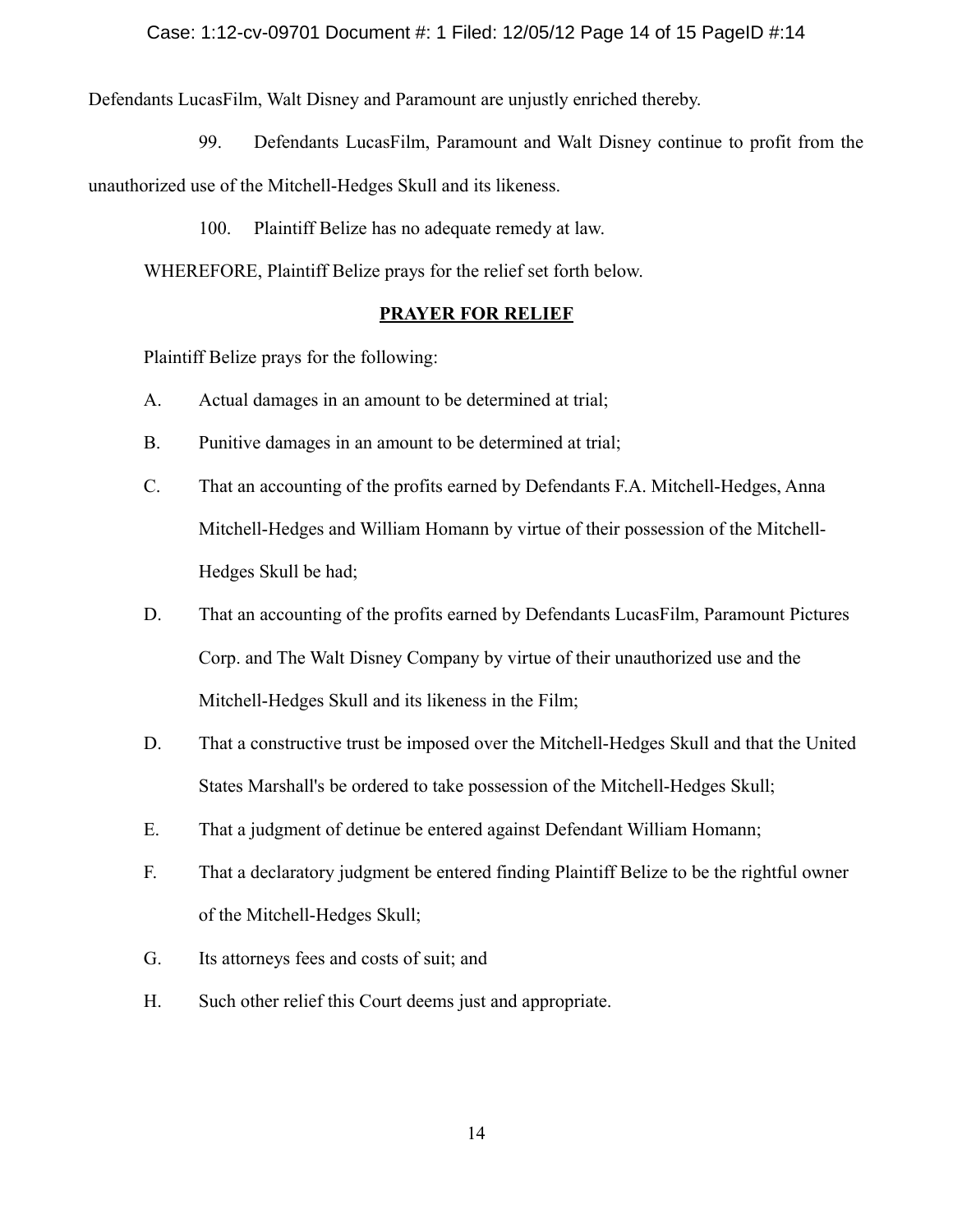Defendants LucasFilm, Walt Disney and Paramount are unjustly enriched thereby.

99. Defendants LucasFilm, Paramount and Walt Disney continue to profit from the

unauthorized use of the Mitchell-Hedges Skull and its likeness.

100. Plaintiff Belize has no adequate remedy at law.

WHEREFORE, Plaintiff Belize prays for the relief set forth below.

# **PRAYER FOR RELIEF**

Plaintiff Belize prays for the following:

- A. Actual damages in an amount to be determined at trial;
- B. Punitive damages in an amount to be determined at trial;
- C. That an accounting of the profits earned by Defendants F.A. Mitchell-Hedges, Anna Mitchell-Hedges and William Homann by virtue of their possession of the Mitchell-Hedges Skull be had;
- D. That an accounting of the profits earned by Defendants LucasFilm, Paramount Pictures Corp. and The Walt Disney Company by virtue of their unauthorized use and the Mitchell-Hedges Skull and its likeness in the Film;
- D. That a constructive trust be imposed over the Mitchell-Hedges Skull and that the United States Marshall's be ordered to take possession of the Mitchell-Hedges Skull;
- E. That a judgment of detinue be entered against Defendant William Homann;
- F. That a declaratory judgment be entered finding Plaintiff Belize to be the rightful owner of the Mitchell-Hedges Skull;
- G. Its attorneys fees and costs of suit; and
- H. Such other relief this Court deems just and appropriate.